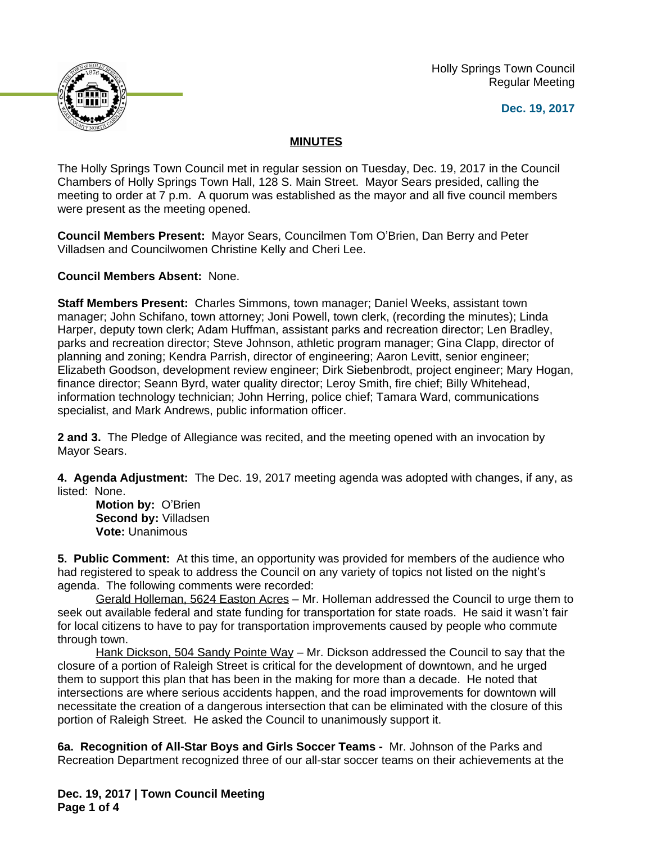Holly Springs Town Council Regular Meeting





## **MINUTES**

The Holly Springs Town Council met in regular session on Tuesday, Dec. 19, 2017 in the Council Chambers of Holly Springs Town Hall, 128 S. Main Street. Mayor Sears presided, calling the meeting to order at 7 p.m. A quorum was established as the mayor and all five council members were present as the meeting opened.

**Council Members Present:** Mayor Sears, Councilmen Tom O'Brien, Dan Berry and Peter Villadsen and Councilwomen Christine Kelly and Cheri Lee.

**Council Members Absent:** None.

**Staff Members Present:** Charles Simmons, town manager; Daniel Weeks, assistant town manager; John Schifano, town attorney; Joni Powell, town clerk, (recording the minutes); Linda Harper, deputy town clerk; Adam Huffman, assistant parks and recreation director; Len Bradley, parks and recreation director; Steve Johnson, athletic program manager; Gina Clapp, director of planning and zoning; Kendra Parrish, director of engineering; Aaron Levitt, senior engineer; Elizabeth Goodson, development review engineer; Dirk Siebenbrodt, project engineer; Mary Hogan, finance director; Seann Byrd, water quality director; Leroy Smith, fire chief; Billy Whitehead, information technology technician; John Herring, police chief; Tamara Ward, communications specialist, and Mark Andrews, public information officer.

**2 and 3.** The Pledge of Allegiance was recited, and the meeting opened with an invocation by Mayor Sears.

**4. Agenda Adjustment:** The Dec. 19, 2017 meeting agenda was adopted with changes, if any, as listed: None.

**Motion by:** O'Brien **Second by:** Villadsen **Vote:** Unanimous

**5. Public Comment:** At this time, an opportunity was provided for members of the audience who had registered to speak to address the Council on any variety of topics not listed on the night's agenda. The following comments were recorded:

Gerald Holleman, 5624 Easton Acres – Mr. Holleman addressed the Council to urge them to seek out available federal and state funding for transportation for state roads. He said it wasn't fair for local citizens to have to pay for transportation improvements caused by people who commute through town.

Hank Dickson, 504 Sandy Pointe Way – Mr. Dickson addressed the Council to say that the closure of a portion of Raleigh Street is critical for the development of downtown, and he urged them to support this plan that has been in the making for more than a decade. He noted that intersections are where serious accidents happen, and the road improvements for downtown will necessitate the creation of a dangerous intersection that can be eliminated with the closure of this portion of Raleigh Street. He asked the Council to unanimously support it.

**6a. Recognition of All-Star Boys and Girls Soccer Teams -** Mr. Johnson of the Parks and Recreation Department recognized three of our all-star soccer teams on their achievements at the

**Dec. 19, 2017 | Town Council Meeting Page 1 of 4**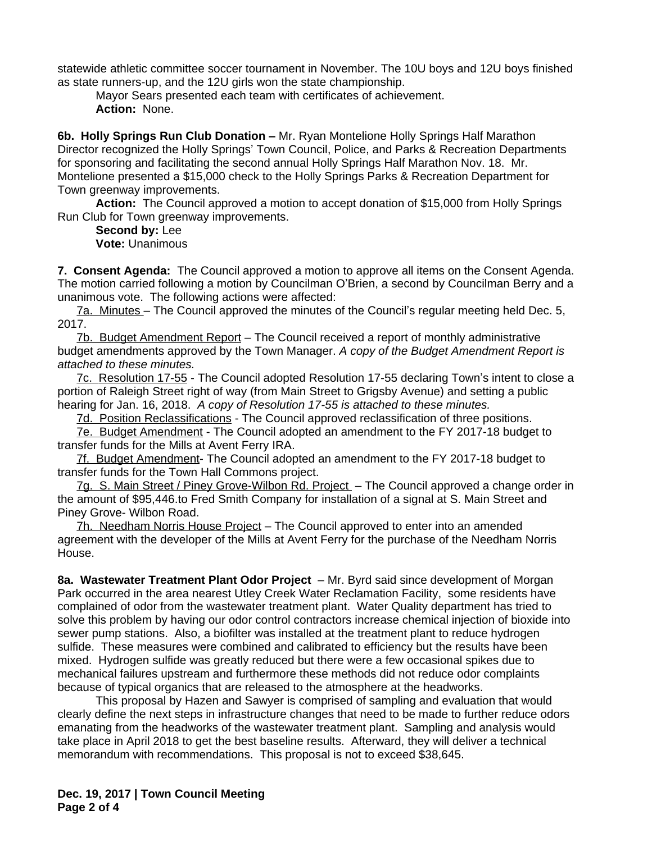statewide athletic committee soccer tournament in November. The 10U boys and 12U boys finished as state runners-up, and the 12U girls won the state championship.

Mayor Sears presented each team with certificates of achievement. **Action:** None.

**6b. Holly Springs Run Club Donation –** Mr. Ryan Montelione Holly Springs Half Marathon Director recognized the Holly Springs' Town Council, Police, and Parks & Recreation Departments for sponsoring and facilitating the second annual Holly Springs Half Marathon Nov. 18. Mr. Montelione presented a \$15,000 check to the Holly Springs Parks & Recreation Department for Town greenway improvements.

**Action:** The Council approved a motion to accept donation of \$15,000 from Holly Springs Run Club for Town greenway improvements.

**Second by:** Lee **Vote:** Unanimous

**7. Consent Agenda:** The Council approved a motion to approve all items on the Consent Agenda. The motion carried following a motion by Councilman O'Brien, a second by Councilman Berry and a unanimous vote. The following actions were affected:

7a. Minutes – The Council approved the minutes of the Council's regular meeting held Dec. 5, 2017.

7b. Budget Amendment Report – The Council received a report of monthly administrative budget amendments approved by the Town Manager. *A copy of the Budget Amendment Report is attached to these minutes.*

7c. Resolution 17-55 - The Council adopted Resolution 17-55 declaring Town's intent to close a portion of Raleigh Street right of way (from Main Street to Grigsby Avenue) and setting a public hearing for Jan. 16, 2018. *A copy of Resolution 17-55 is attached to these minutes.*

7d. Position Reclassifications - The Council approved reclassification of three positions.

7e. Budget Amendment - The Council adopted an amendment to the FY 2017-18 budget to transfer funds for the Mills at Avent Ferry IRA.

7f. Budget Amendment- The Council adopted an amendment to the FY 2017-18 budget to transfer funds for the Town Hall Commons project.

7g. S. Main Street / Piney Grove-Wilbon Rd. Project – The Council approved a change order in the amount of \$95,446.to Fred Smith Company for installation of a signal at S. Main Street and Piney Grove- Wilbon Road.

7h. Needham Norris House Project – The Council approved to enter into an amended agreement with the developer of the Mills at Avent Ferry for the purchase of the Needham Norris House.

**8a. Wastewater Treatment Plant Odor Project** – Mr. Byrd said since development of Morgan Park occurred in the area nearest Utley Creek Water Reclamation Facility, some residents have complained of odor from the wastewater treatment plant. Water Quality department has tried to solve this problem by having our odor control contractors increase chemical injection of bioxide into sewer pump stations. Also, a biofilter was installed at the treatment plant to reduce hydrogen sulfide. These measures were combined and calibrated to efficiency but the results have been mixed. Hydrogen sulfide was greatly reduced but there were a few occasional spikes due to mechanical failures upstream and furthermore these methods did not reduce odor complaints because of typical organics that are released to the atmosphere at the headworks.

This proposal by Hazen and Sawyer is comprised of sampling and evaluation that would clearly define the next steps in infrastructure changes that need to be made to further reduce odors emanating from the headworks of the wastewater treatment plant. Sampling and analysis would take place in April 2018 to get the best baseline results. Afterward, they will deliver a technical memorandum with recommendations. This proposal is not to exceed \$38,645.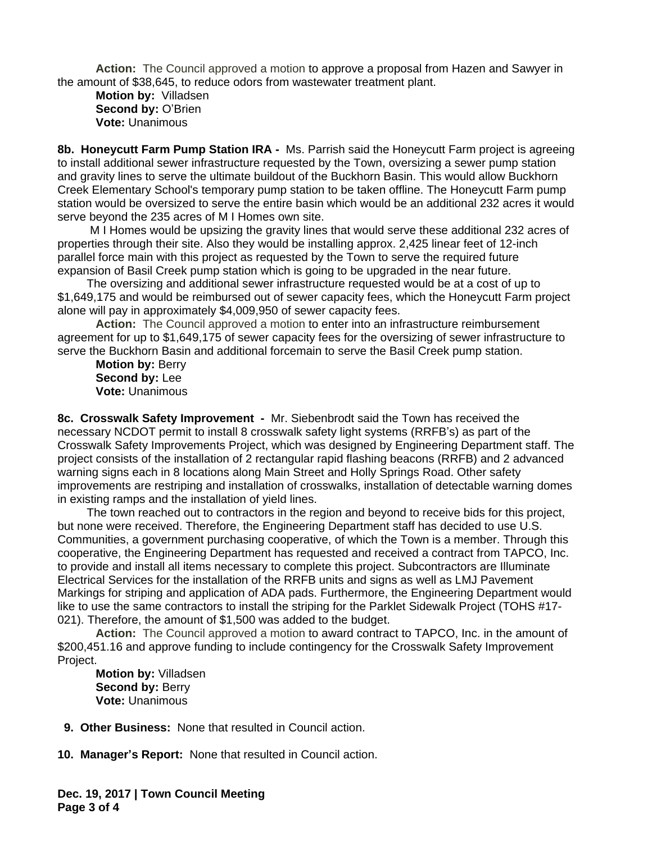**Action:** The Council approved a motion to approve a proposal from Hazen and Sawyer in the amount of \$38,645, to reduce odors from wastewater treatment plant.

**Motion by:** Villadsen **Second by:** O'Brien **Vote:** Unanimous

**8b. Honeycutt Farm Pump Station IRA -** Ms. Parrish said the Honeycutt Farm project is agreeing to install additional sewer infrastructure requested by the Town, oversizing a sewer pump station and gravity lines to serve the ultimate buildout of the Buckhorn Basin. This would allow Buckhorn Creek Elementary School's temporary pump station to be taken offline. The Honeycutt Farm pump station would be oversized to serve the entire basin which would be an additional 232 acres it would serve beyond the 235 acres of M I Homes own site.

 M I Homes would be upsizing the gravity lines that would serve these additional 232 acres of properties through their site. Also they would be installing approx. 2,425 linear feet of 12-inch parallel force main with this project as requested by the Town to serve the required future expansion of Basil Creek pump station which is going to be upgraded in the near future.

 The oversizing and additional sewer infrastructure requested would be at a cost of up to \$1,649,175 and would be reimbursed out of sewer capacity fees, which the Honeycutt Farm project alone will pay in approximately \$4,009,950 of sewer capacity fees.

**Action:** The Council approved a motion to enter into an infrastructure reimbursement agreement for up to \$1,649,175 of sewer capacity fees for the oversizing of sewer infrastructure to serve the Buckhorn Basin and additional forcemain to serve the Basil Creek pump station.

**Motion by:** Berry **Second by:** Lee **Vote:** Unanimous

**8c. Crosswalk Safety Improvement -** Mr. Siebenbrodt said the Town has received the necessary NCDOT permit to install 8 crosswalk safety light systems (RRFB's) as part of the Crosswalk Safety Improvements Project, which was designed by Engineering Department staff. The project consists of the installation of 2 rectangular rapid flashing beacons (RRFB) and 2 advanced warning signs each in 8 locations along Main Street and Holly Springs Road. Other safety improvements are restriping and installation of crosswalks, installation of detectable warning domes in existing ramps and the installation of yield lines.

 The town reached out to contractors in the region and beyond to receive bids for this project, but none were received. Therefore, the Engineering Department staff has decided to use U.S. Communities, a government purchasing cooperative, of which the Town is a member. Through this cooperative, the Engineering Department has requested and received a contract from TAPCO, Inc. to provide and install all items necessary to complete this project. Subcontractors are Illuminate Electrical Services for the installation of the RRFB units and signs as well as LMJ Pavement Markings for striping and application of ADA pads. Furthermore, the Engineering Department would like to use the same contractors to install the striping for the Parklet Sidewalk Project (TOHS #17- 021). Therefore, the amount of \$1,500 was added to the budget.

**Action:** The Council approved a motion to award contract to TAPCO, Inc. in the amount of \$200,451.16 and approve funding to include contingency for the Crosswalk Safety Improvement Project.

**Motion by:** Villadsen **Second by: Berry Vote:** Unanimous

 **9. Other Business:** None that resulted in Council action.

**10. Manager's Report:** None that resulted in Council action.

**Dec. 19, 2017 | Town Council Meeting Page 3 of 4**